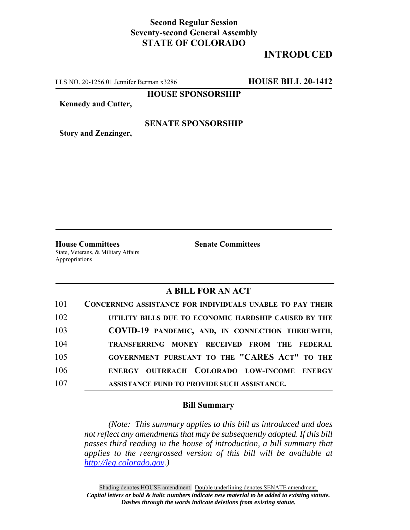## **Second Regular Session Seventy-second General Assembly STATE OF COLORADO**

# **INTRODUCED**

LLS NO. 20-1256.01 Jennifer Berman x3286 **HOUSE BILL 20-1412**

**HOUSE SPONSORSHIP**

**Kennedy and Cutter,**

#### **SENATE SPONSORSHIP**

**Story and Zenzinger,**

**House Committees Senate Committees** State, Veterans, & Military Affairs Appropriations

### **A BILL FOR AN ACT**

| 101 | <b>CONCERNING ASSISTANCE FOR INDIVIDUALS UNABLE TO PAY THEIR</b> |
|-----|------------------------------------------------------------------|
| 102 | UTILITY BILLS DUE TO ECONOMIC HARDSHIP CAUSED BY THE             |
| 103 | COVID-19 PANDEMIC, AND, IN CONNECTION THEREWITH,                 |
| 104 | TRANSFERRING MONEY RECEIVED FROM THE FEDERAL                     |
| 105 | GOVERNMENT PURSUANT TO THE "CARES ACT" TO THE                    |
| 106 | ENERGY OUTREACH COLORADO LOW-INCOME ENERGY                       |
| 107 | ASSISTANCE FUND TO PROVIDE SUCH ASSISTANCE.                      |

#### **Bill Summary**

*(Note: This summary applies to this bill as introduced and does not reflect any amendments that may be subsequently adopted. If this bill passes third reading in the house of introduction, a bill summary that applies to the reengrossed version of this bill will be available at http://leg.colorado.gov.)*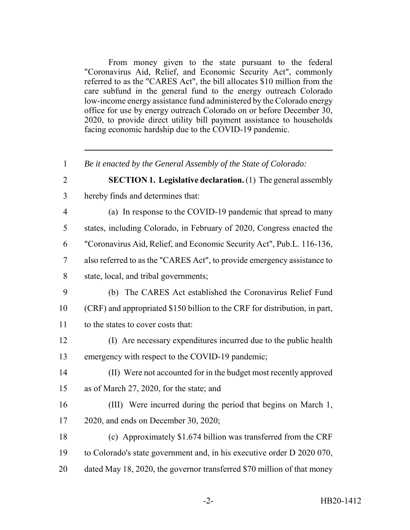From money given to the state pursuant to the federal "Coronavirus Aid, Relief, and Economic Security Act", commonly referred to as the "CARES Act", the bill allocates \$10 million from the care subfund in the general fund to the energy outreach Colorado low-income energy assistance fund administered by the Colorado energy office for use by energy outreach Colorado on or before December 30, 2020, to provide direct utility bill payment assistance to households facing economic hardship due to the COVID-19 pandemic.

 *Be it enacted by the General Assembly of the State of Colorado:* **SECTION 1. Legislative declaration.** (1) The general assembly hereby finds and determines that: (a) In response to the COVID-19 pandemic that spread to many states, including Colorado, in February of 2020, Congress enacted the "Coronavirus Aid, Relief, and Economic Security Act", Pub.L. 116-136, also referred to as the "CARES Act", to provide emergency assistance to state, local, and tribal governments; (b) The CARES Act established the Coronavirus Relief Fund (CRF) and appropriated \$150 billion to the CRF for distribution, in part, to the states to cover costs that: (I) Are necessary expenditures incurred due to the public health emergency with respect to the COVID-19 pandemic; (II) Were not accounted for in the budget most recently approved as of March 27, 2020, for the state; and

 (III) Were incurred during the period that begins on March 1, 2020, and ends on December 30, 2020;

 (c) Approximately \$1.674 billion was transferred from the CRF to Colorado's state government and, in his executive order D 2020 070, dated May 18, 2020, the governor transferred \$70 million of that money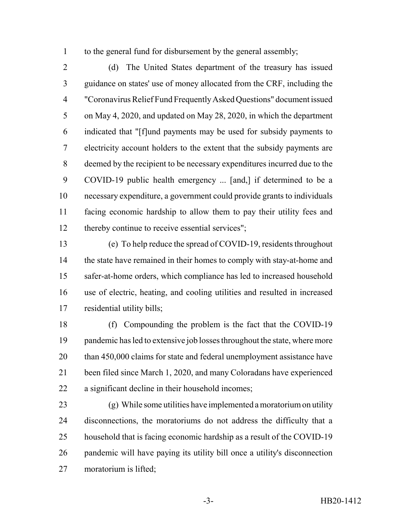to the general fund for disbursement by the general assembly;

 (d) The United States department of the treasury has issued guidance on states' use of money allocated from the CRF, including the "Coronavirus Relief Fund Frequently Asked Questions" document issued on May 4, 2020, and updated on May 28, 2020, in which the department indicated that "[f]und payments may be used for subsidy payments to electricity account holders to the extent that the subsidy payments are deemed by the recipient to be necessary expenditures incurred due to the COVID-19 public health emergency ... [and,] if determined to be a necessary expenditure, a government could provide grants to individuals facing economic hardship to allow them to pay their utility fees and thereby continue to receive essential services";

 (e) To help reduce the spread of COVID-19, residents throughout 14 the state have remained in their homes to comply with stay-at-home and safer-at-home orders, which compliance has led to increased household use of electric, heating, and cooling utilities and resulted in increased residential utility bills;

 (f) Compounding the problem is the fact that the COVID-19 19 pandemic has led to extensive job losses throughout the state, where more 20 than 450,000 claims for state and federal unemployment assistance have been filed since March 1, 2020, and many Coloradans have experienced a significant decline in their household incomes;

 (g) While some utilities have implemented a moratorium on utility disconnections, the moratoriums do not address the difficulty that a household that is facing economic hardship as a result of the COVID-19 pandemic will have paying its utility bill once a utility's disconnection moratorium is lifted;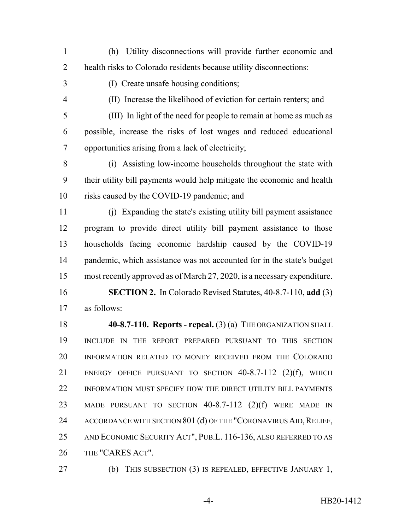- (h) Utility disconnections will provide further economic and health risks to Colorado residents because utility disconnections:
- 

(I) Create unsafe housing conditions;

(II) Increase the likelihood of eviction for certain renters; and

 (III) In light of the need for people to remain at home as much as possible, increase the risks of lost wages and reduced educational opportunities arising from a lack of electricity;

 (i) Assisting low-income households throughout the state with their utility bill payments would help mitigate the economic and health risks caused by the COVID-19 pandemic; and

 (j) Expanding the state's existing utility bill payment assistance program to provide direct utility bill payment assistance to those households facing economic hardship caused by the COVID-19 14 pandemic, which assistance was not accounted for in the state's budget most recently approved as of March 27, 2020, is a necessary expenditure.

 **SECTION 2.** In Colorado Revised Statutes, 40-8.7-110, **add** (3) as follows:

 **40-8.7-110. Reports - repeal.** (3) (a) THE ORGANIZATION SHALL INCLUDE IN THE REPORT PREPARED PURSUANT TO THIS SECTION INFORMATION RELATED TO MONEY RECEIVED FROM THE COLORADO ENERGY OFFICE PURSUANT TO SECTION 40-8.7-112 (2)(f), WHICH INFORMATION MUST SPECIFY HOW THE DIRECT UTILITY BILL PAYMENTS MADE PURSUANT TO SECTION 40-8.7-112 (2)(f) WERE MADE IN 24 ACCORDANCE WITH SECTION 801 (d) OF THE "CORONAVIRUS AID, RELIEF, AND ECONOMIC SECURITY ACT", PUB.L. 116-136, ALSO REFERRED TO AS THE "CARES ACT".

(b) THIS SUBSECTION (3) IS REPEALED, EFFECTIVE JANUARY 1,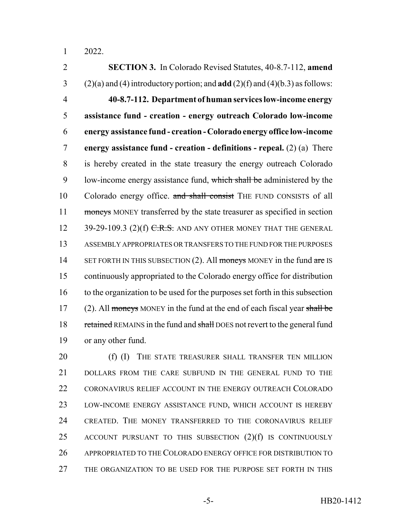2022.

 **SECTION 3.** In Colorado Revised Statutes, 40-8.7-112, **amend** (2)(a) and (4) introductory portion; and **add** (2)(f) and (4)(b.3) as follows: **40-8.7-112. Department of human services low-income energy assistance fund - creation - energy outreach Colorado low-income energy assistance fund - creation - Colorado energy office low-income energy assistance fund - creation - definitions - repeal.** (2) (a) There is hereby created in the state treasury the energy outreach Colorado 9 low-income energy assistance fund, which shall be administered by the 10 Colorado energy office. and shall consist THE FUND CONSISTS of all 11 moneys MONEY transferred by the state treasurer as specified in section 12 39-29-109.3 (2)(f)  $C.R.S.$  AND ANY OTHER MONEY THAT THE GENERAL ASSEMBLY APPROPRIATES OR TRANSFERS TO THE FUND FOR THE PURPOSES 14 SET FORTH IN THIS SUBSECTION  $(2)$ . All moneys MONEY in the fund are IS continuously appropriated to the Colorado energy office for distribution to the organization to be used for the purposes set forth in this subsection 17 (2). All moneys MONEY in the fund at the end of each fiscal year shall be 18 retained REMAINS in the fund and shall DOES not revert to the general fund or any other fund.

20 (f) (I) THE STATE TREASURER SHALL TRANSFER TEN MILLION DOLLARS FROM THE CARE SUBFUND IN THE GENERAL FUND TO THE 22 CORONAVIRUS RELIEF ACCOUNT IN THE ENERGY OUTREACH COLORADO LOW-INCOME ENERGY ASSISTANCE FUND, WHICH ACCOUNT IS HEREBY CREATED. THE MONEY TRANSFERRED TO THE CORONAVIRUS RELIEF ACCOUNT PURSUANT TO THIS SUBSECTION (2)(f) IS CONTINUOUSLY APPROPRIATED TO THE COLORADO ENERGY OFFICE FOR DISTRIBUTION TO THE ORGANIZATION TO BE USED FOR THE PURPOSE SET FORTH IN THIS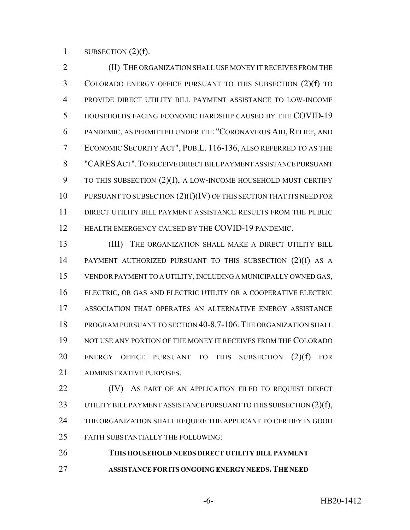1 SUBSECTION  $(2)(f)$ .

 (II) THE ORGANIZATION SHALL USE MONEY IT RECEIVES FROM THE COLORADO ENERGY OFFICE PURSUANT TO THIS SUBSECTION (2)(f) TO PROVIDE DIRECT UTILITY BILL PAYMENT ASSISTANCE TO LOW-INCOME HOUSEHOLDS FACING ECONOMIC HARDSHIP CAUSED BY THE COVID-19 PANDEMIC, AS PERMITTED UNDER THE "CORONAVIRUS AID, RELIEF, AND ECONOMIC SECURITY ACT", PUB.L. 116-136, ALSO REFERRED TO AS THE "CARESACT".TO RECEIVE DIRECT BILL PAYMENT ASSISTANCE PURSUANT 9 TO THIS SUBSECTION (2)(f), A LOW-INCOME HOUSEHOLD MUST CERTIFY PURSUANT TO SUBSECTION (2)(f)(IV) OF THIS SECTION THAT ITS NEED FOR DIRECT UTILITY BILL PAYMENT ASSISTANCE RESULTS FROM THE PUBLIC 12 HEALTH EMERGENCY CAUSED BY THE COVID-19 PANDEMIC.

13 (III) THE ORGANIZATION SHALL MAKE A DIRECT UTILITY BILL PAYMENT AUTHORIZED PURSUANT TO THIS SUBSECTION (2)(f) AS A VENDOR PAYMENT TO A UTILITY, INCLUDING A MUNICIPALLY OWNED GAS, ELECTRIC, OR GAS AND ELECTRIC UTILITY OR A COOPERATIVE ELECTRIC ASSOCIATION THAT OPERATES AN ALTERNATIVE ENERGY ASSISTANCE PROGRAM PURSUANT TO SECTION 40-8.7-106. THE ORGANIZATION SHALL NOT USE ANY PORTION OF THE MONEY IT RECEIVES FROM THE COLORADO ENERGY OFFICE PURSUANT TO THIS SUBSECTION (2)(f) FOR ADMINISTRATIVE PURPOSES.

**(IV)** AS PART OF AN APPLICATION FILED TO REQUEST DIRECT 23 UTILITY BILL PAYMENT ASSISTANCE PURSUANT TO THIS SUBSECTION (2)(f), THE ORGANIZATION SHALL REQUIRE THE APPLICANT TO CERTIFY IN GOOD FAITH SUBSTANTIALLY THE FOLLOWING:

 **THIS HOUSEHOLD NEEDS DIRECT UTILITY BILL PAYMENT ASSISTANCE FOR ITS ONGOING ENERGY NEEDS.THE NEED**